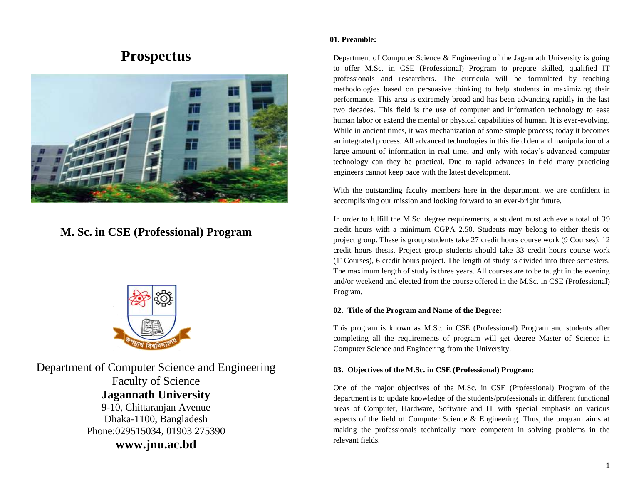# **Prospectus**



# **M. Sc. in CSE (Professional) Program**



Department of Computer Science and Engineering Faculty of Science **Jagannath University** 9-10, Chittaranjan Avenue Dhaka-1100, Bangladesh Phone:029515034, 01903 275390 **www.jnu.ac.bd**

#### **01. Preamble:**

Department of Computer Science & Engineering of the Jagannath University is going to offer M.Sc. in CSE (Professional) Program to prepare skilled, qualified IT professionals and researchers. The curricula will be formulated by teaching methodologies based on persuasive thinking to help students in maximizing their performance. This area is extremely broad and has been advancing rapidly in the last two decades. This field is the use of computer and information technology to ease human labor or extend the mental or physical capabilities of human. It is ever-evolving. While in ancient times, it was mechanization of some simple process; today it becomes an integrated process. All advanced technologies in this field demand manipulation of a large amount of information in real time, and only with today's advanced computer technology can they be practical. Due to rapid advances in field many practicing engineers cannot keep pace with the latest development.

With the outstanding faculty members here in the department, we are confident in accomplishing our mission and looking forward to an ever-bright future.

In order to fulfill the M.Sc. degree requirements, a student must achieve a total of 39 credit hours with a minimum CGPA 2.50. Students may belong to either thesis or project group. These is group students take 27 credit hours course work (9 Courses), 12 credit hours thesis. Project group students should take 33 credit hours course work (11Courses), 6 credit hours project. The length of study is divided into three semesters. The maximum length of study is three years. All courses are to be taught in the evening and/or weekend and elected from the course offered in the M.Sc. in CSE (Professional) Program.

# **02. Title of the Program and Name of the Degree:**

This program is known as M.Sc. in CSE (Professional) Program and students after completing all the requirements of program will get degree Master of Science in Computer Science and Engineering from the University.

#### **03. Objectives of the M.Sc. in CSE (Professional) Program:**

One of the major objectives of the M.Sc. in CSE (Professional) Program of the department is to update knowledge of the students/professionals in different functional areas of Computer, Hardware, Software and IT with special emphasis on various aspects of the field of Computer Science & Engineering. Thus, the program aims at making the professionals technically more competent in solving problems in the relevant fields.